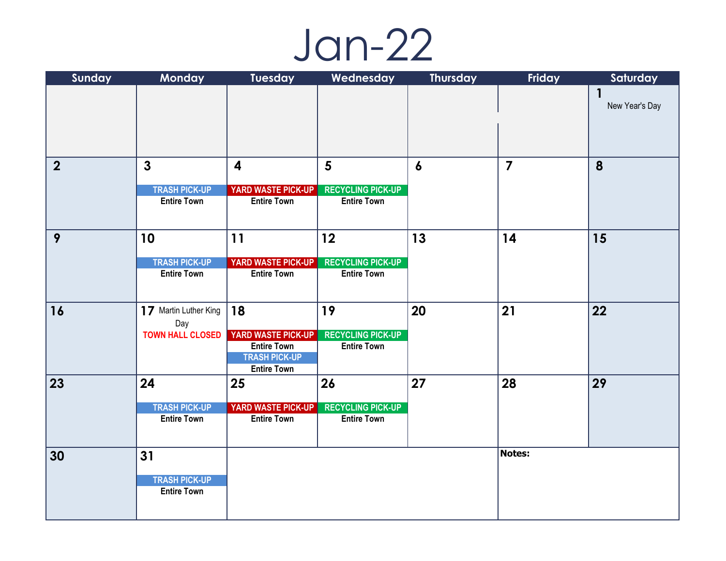## Jan-22

| Sunday         | Monday                                     | Tuesday                                         | Wednesday                                      | <b>Thursday</b>  | Friday         | Saturday       |
|----------------|--------------------------------------------|-------------------------------------------------|------------------------------------------------|------------------|----------------|----------------|
|                |                                            |                                                 |                                                |                  |                |                |
|                |                                            |                                                 |                                                |                  |                | New Year's Day |
|                |                                            |                                                 |                                                |                  |                |                |
|                |                                            |                                                 |                                                |                  |                |                |
| $\overline{2}$ | $\mathbf{3}$                               | $\overline{\mathbf{4}}$                         | $5\phantom{.}$                                 | $\boldsymbol{6}$ | $\overline{7}$ | 8              |
|                |                                            |                                                 |                                                |                  |                |                |
|                | <b>TRASH PICK-UP</b>                       | YARD WASTE PICK-UP                              | <b>RECYCLING PICK-UP</b>                       |                  |                |                |
|                | <b>Entire Town</b>                         | <b>Entire Town</b>                              | <b>Entire Town</b>                             |                  |                |                |
|                |                                            |                                                 |                                                |                  |                |                |
| 9              | 10                                         | 11                                              | 12                                             | 13               | 14             | 15             |
|                |                                            |                                                 |                                                |                  |                |                |
|                | <b>TRASH PICK-UP</b><br><b>Entire Town</b> | <b>YARD WASTE PICK-UP</b><br><b>Entire Town</b> | <b>RECYCLING PICK-UP</b><br><b>Entire Town</b> |                  |                |                |
|                |                                            |                                                 |                                                |                  |                |                |
|                |                                            |                                                 |                                                |                  |                |                |
| 16             | 17 Martin Luther King                      | 18                                              | 19                                             | 20               | 21             | 22             |
|                | Day                                        |                                                 |                                                |                  |                |                |
|                | <b>TOWN HALL CLOSED</b>                    | YARD WASTE PICK-UP<br><b>Entire Town</b>        | <b>RECYCLING PICK-UP</b><br><b>Entire Town</b> |                  |                |                |
|                |                                            | <b>TRASH PICK-UP</b>                            |                                                |                  |                |                |
|                |                                            | <b>Entire Town</b>                              |                                                |                  |                |                |
| 23             | 24                                         | 25                                              | 26                                             | 27               | 28             | 29             |
|                | <b>TRASH PICK-UP</b>                       | YARD WASTE PICK-UP                              | <b>RECYCLING PICK-UP</b>                       |                  |                |                |
|                | <b>Entire Town</b>                         | <b>Entire Town</b>                              | <b>Entire Town</b>                             |                  |                |                |
|                |                                            |                                                 |                                                |                  |                |                |
| 30             | 31                                         |                                                 |                                                |                  | Notes:         |                |
|                |                                            |                                                 |                                                |                  |                |                |
|                | <b>TRASH PICK-UP</b>                       |                                                 |                                                |                  |                |                |
|                | <b>Entire Town</b>                         |                                                 |                                                |                  |                |                |
|                |                                            |                                                 |                                                |                  |                |                |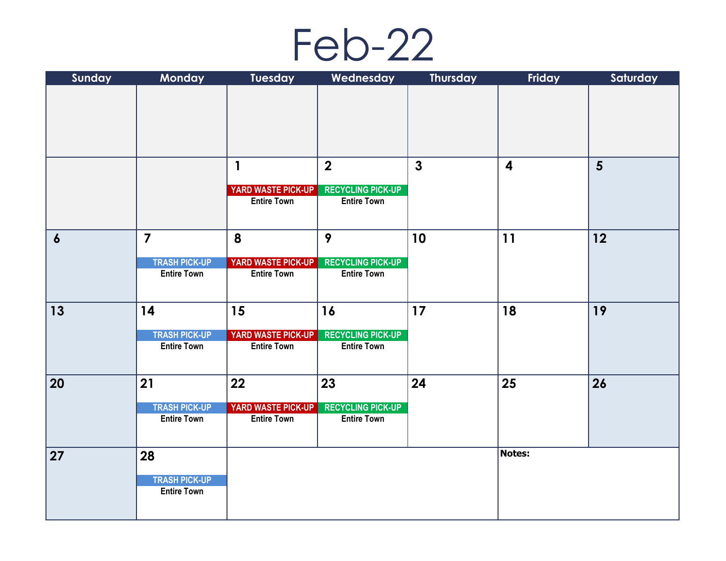

| Sunday           | Monday               | <b>Tuesday</b>            | Wednesday                | <b>Thursday</b> | Friday                  | Saturday       |
|------------------|----------------------|---------------------------|--------------------------|-----------------|-------------------------|----------------|
|                  |                      |                           |                          |                 |                         |                |
|                  |                      |                           |                          |                 |                         |                |
|                  |                      |                           |                          |                 |                         |                |
|                  |                      |                           |                          |                 |                         |                |
|                  |                      |                           |                          |                 |                         |                |
|                  |                      | $\mathbf{1}$              | $\overline{\mathbf{2}}$  | $\mathbf{3}$    | $\overline{\mathbf{4}}$ | $5\phantom{1}$ |
|                  |                      |                           |                          |                 |                         |                |
|                  |                      | YARD WASTE PICK-UP        | <b>RECYCLING PICK-UP</b> |                 |                         |                |
|                  |                      | <b>Entire Town</b>        | <b>Entire Town</b>       |                 |                         |                |
|                  |                      |                           |                          |                 |                         |                |
| $\boldsymbol{6}$ | $\overline{7}$       | 8                         | 9                        | 10              | 11                      | 12             |
|                  |                      |                           |                          |                 |                         |                |
|                  | <b>TRASH PICK-UP</b> | <b>YARD WASTE PICK-UP</b> | <b>RECYCLING PICK-UP</b> |                 |                         |                |
|                  | <b>Entire Town</b>   | <b>Entire Town</b>        | <b>Entire Town</b>       |                 |                         |                |
|                  |                      |                           |                          |                 |                         |                |
| 13               | 14                   | 15                        | 16                       | 17              | 18                      | 19             |
|                  |                      |                           |                          |                 |                         |                |
|                  | <b>TRASH PICK-UP</b> | <b>YARD WASTE PICK-UP</b> | <b>RECYCLING PICK-UP</b> |                 |                         |                |
|                  | <b>Entire Town</b>   | <b>Entire Town</b>        | <b>Entire Town</b>       |                 |                         |                |
|                  |                      |                           |                          |                 |                         |                |
| 20               | 21                   | 22                        | 23                       | 24              | 25                      | 26             |
|                  |                      |                           |                          |                 |                         |                |
|                  | <b>TRASH PICK-UP</b> | <b>YARD WASTE PICK-UP</b> | <b>RECYCLING PICK-UP</b> |                 |                         |                |
|                  | <b>Entire Town</b>   | <b>Entire Town</b>        | <b>Entire Town</b>       |                 |                         |                |
|                  |                      |                           |                          |                 |                         |                |
| 27               | 28                   |                           |                          |                 | <b>Notes:</b>           |                |
|                  |                      |                           |                          |                 |                         |                |
|                  | <b>TRASH PICK-UP</b> |                           |                          |                 |                         |                |
|                  | <b>Entire Town</b>   |                           |                          |                 |                         |                |
|                  |                      |                           |                          |                 |                         |                |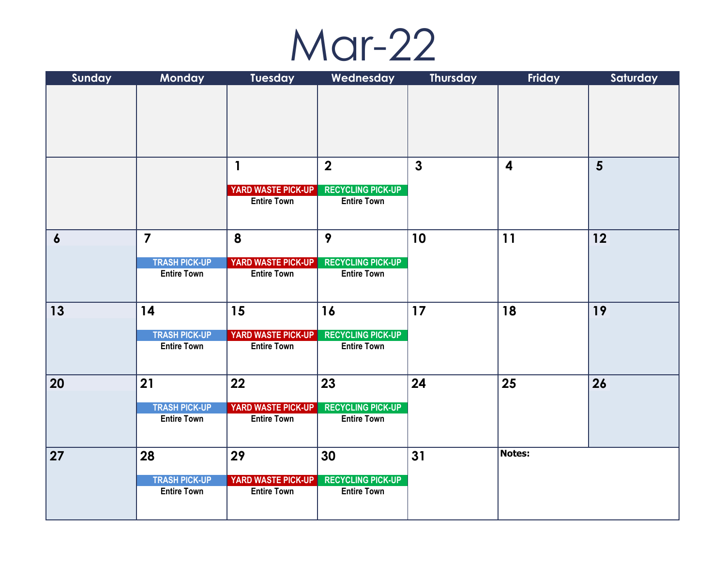

| Sunday           | Monday                                     | <b>Tuesday</b>                           | Wednesday                                      | <b>Thursday</b> | Friday                  | Saturday       |
|------------------|--------------------------------------------|------------------------------------------|------------------------------------------------|-----------------|-------------------------|----------------|
|                  |                                            |                                          |                                                |                 |                         |                |
|                  |                                            |                                          |                                                |                 |                         |                |
|                  |                                            |                                          |                                                |                 |                         |                |
|                  |                                            |                                          |                                                |                 |                         |                |
|                  |                                            |                                          |                                                |                 |                         |                |
|                  |                                            | $\mathbf{1}$                             | $\overline{2}$                                 | $\mathbf{3}$    | $\overline{\mathbf{4}}$ | $5\phantom{1}$ |
|                  |                                            | <b>YARD WASTE PICK-UP</b>                | <b>RECYCLING PICK-UP</b>                       |                 |                         |                |
|                  |                                            | <b>Entire Town</b>                       | <b>Entire Town</b>                             |                 |                         |                |
|                  |                                            |                                          |                                                |                 |                         |                |
|                  |                                            |                                          |                                                |                 |                         |                |
| $\boldsymbol{6}$ | $\overline{\mathbf{7}}$                    | 8                                        | 9                                              | 10              | 11                      | 12             |
|                  | <b>TRASH PICK-UP</b>                       | <b>YARD WASTE PICK-UP</b>                | <b>RECYCLING PICK-UP</b>                       |                 |                         |                |
|                  | <b>Entire Town</b>                         | <b>Entire Town</b>                       | <b>Entire Town</b>                             |                 |                         |                |
|                  |                                            |                                          |                                                |                 |                         |                |
| 13               | 14                                         | 15                                       | 16                                             | 17<br>18        | 19                      |                |
|                  |                                            |                                          |                                                |                 |                         |                |
|                  | <b>TRASH PICK-UP</b>                       | <b>YARD WASTE PICK-UP</b>                | <b>RECYCLING PICK-UP</b>                       |                 |                         |                |
|                  | <b>Entire Town</b>                         | <b>Entire Town</b>                       | <b>Entire Town</b>                             |                 |                         |                |
|                  |                                            |                                          |                                                |                 |                         |                |
| 20               | 21                                         | 22                                       | 23                                             | 24              | 25                      | 26             |
|                  |                                            |                                          |                                                |                 |                         |                |
|                  | <b>TRASH PICK-UP</b>                       | YARD WASTE PICK-UP                       | <b>RECYCLING PICK-UP</b>                       |                 |                         |                |
|                  | <b>Entire Town</b>                         | <b>Entire Town</b>                       | <b>Entire Town</b>                             |                 |                         |                |
|                  |                                            |                                          |                                                |                 |                         |                |
| 27               | 28                                         | 29                                       | 30                                             | 31              | <b>Notes:</b>           |                |
|                  |                                            |                                          |                                                |                 |                         |                |
|                  | <b>TRASH PICK-UP</b><br><b>Entire Town</b> | YARD WASTE PICK-UP<br><b>Entire Town</b> | <b>RECYCLING PICK-UP</b><br><b>Entire Town</b> |                 |                         |                |
|                  |                                            |                                          |                                                |                 |                         |                |
|                  |                                            |                                          |                                                |                 |                         |                |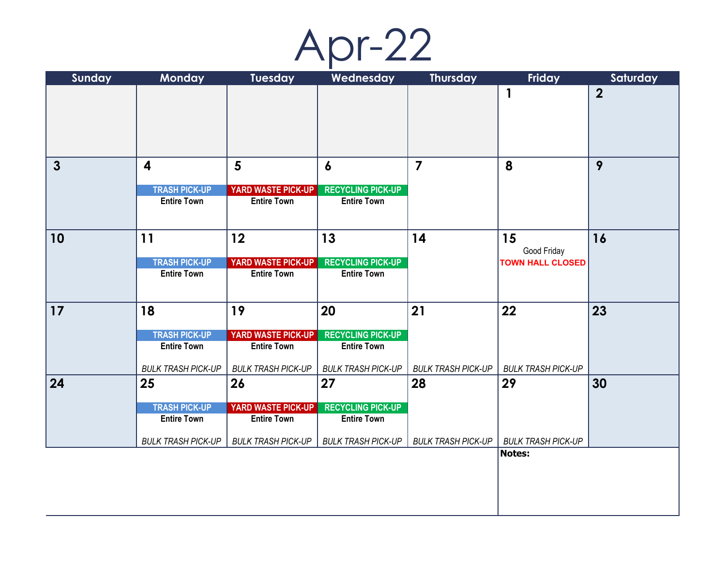Apr-22

| Sunday       | <b>Monday</b>                              | <b>Tuesday</b>                                  | Wednesday                                      | <b>Thursday</b>           | Friday                    | Saturday       |
|--------------|--------------------------------------------|-------------------------------------------------|------------------------------------------------|---------------------------|---------------------------|----------------|
|              |                                            |                                                 |                                                |                           | 1                         | $\overline{2}$ |
|              |                                            |                                                 |                                                |                           |                           |                |
|              |                                            |                                                 |                                                |                           |                           |                |
|              |                                            |                                                 |                                                |                           |                           |                |
|              |                                            |                                                 |                                                |                           |                           |                |
| $\mathbf{3}$ | $\overline{\mathbf{4}}$                    | $5\phantom{1}$                                  | $\boldsymbol{6}$                               | 7                         | 8                         | 9              |
|              | <b>TRASH PICK-UP</b>                       | <b>YARD WASTE PICK-UP</b>                       | <b>RECYCLING PICK-UP</b>                       |                           |                           |                |
|              | <b>Entire Town</b>                         | <b>Entire Town</b>                              | <b>Entire Town</b>                             |                           |                           |                |
|              |                                            |                                                 |                                                |                           |                           |                |
| 10           | 11                                         | 12                                              | 13                                             | 14                        | 15                        | 16             |
|              |                                            |                                                 |                                                |                           | Good Friday               |                |
|              | <b>TRASH PICK-UP</b>                       | YARD WASTE PICK-UP                              | <b>RECYCLING PICK-UP</b>                       |                           | <b>TOWN HALL CLOSED</b>   |                |
|              | <b>Entire Town</b>                         | <b>Entire Town</b>                              | <b>Entire Town</b>                             |                           |                           |                |
|              |                                            |                                                 |                                                |                           |                           |                |
| 17           | 18                                         | 19                                              | 20                                             | 21                        | 22                        | 23             |
|              |                                            |                                                 |                                                |                           |                           |                |
|              | <b>TRASH PICK-UP</b><br><b>Entire Town</b> | <b>YARD WASTE PICK-UP</b><br><b>Entire Town</b> | <b>RECYCLING PICK-UP</b><br><b>Entire Town</b> |                           |                           |                |
|              |                                            |                                                 |                                                |                           |                           |                |
|              | <b>BULK TRASH PICK-UP</b>                  | <b>BULK TRASH PICK-UP</b>                       | <b>BULK TRASH PICK-UP</b>                      | <b>BULK TRASH PICK-UP</b> | <b>BULK TRASH PICK-UP</b> |                |
| $\vert$ 24   | 25                                         | 26                                              | 27                                             | 28                        | 29                        | 30             |
|              | <b>TRASH PICK-UP</b>                       | <b>YARD WASTE PICK-UP</b>                       | <b>RECYCLING PICK-UP</b>                       |                           |                           |                |
|              | <b>Entire Town</b>                         | <b>Entire Town</b>                              | <b>Entire Town</b>                             |                           |                           |                |
|              | <b>BULK TRASH PICK-UP</b>                  | <b>BULK TRASH PICK-UP</b>                       | <b>BULK TRASH PICK-UP</b>                      | <b>BULK TRASH PICK-UP</b> | <b>BULK TRASH PICK-UP</b> |                |
|              |                                            |                                                 |                                                |                           | <b>Notes:</b>             |                |
|              |                                            |                                                 |                                                |                           |                           |                |
|              |                                            |                                                 |                                                |                           |                           |                |
|              |                                            |                                                 |                                                |                           |                           |                |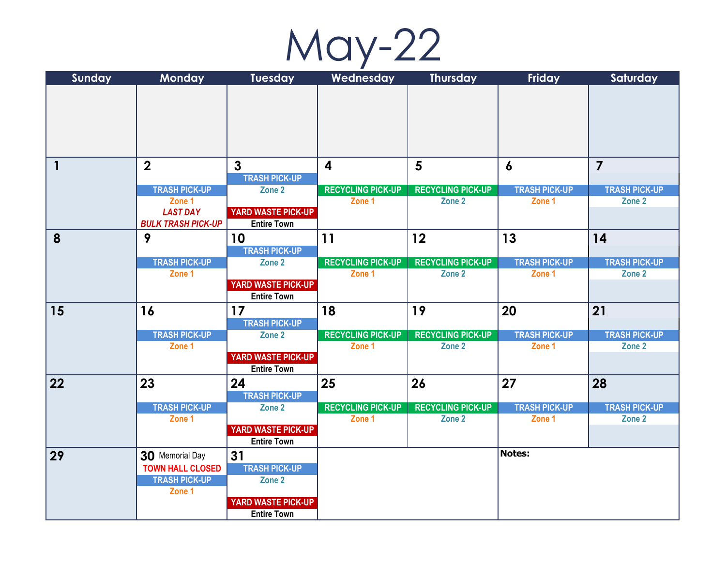May-22

| Sunday       | <b>Monday</b>                                | <b>Tuesday</b>                                  | Wednesday                | <b>Thursday</b>          | Friday               | Saturday             |
|--------------|----------------------------------------------|-------------------------------------------------|--------------------------|--------------------------|----------------------|----------------------|
|              |                                              |                                                 |                          |                          |                      |                      |
|              |                                              |                                                 |                          |                          |                      |                      |
|              |                                              |                                                 |                          |                          |                      |                      |
|              |                                              |                                                 |                          |                          |                      |                      |
|              |                                              |                                                 |                          |                          |                      |                      |
| $\mathbf{1}$ | $\overline{2}$                               | $\overline{3}$                                  | $\overline{\mathbf{4}}$  | $5\phantom{1}$           | $\boldsymbol{6}$     | $\overline{7}$       |
|              |                                              | <b>TRASH PICK-UP</b>                            |                          |                          |                      |                      |
|              | <b>TRASH PICK-UP</b>                         | Zone 2                                          | <b>RECYCLING PICK-UP</b> | <b>RECYCLING PICK-UP</b> | <b>TRASH PICK-UP</b> | <b>TRASH PICK-UP</b> |
|              | Zone 1                                       |                                                 | Zone 1                   | Zone 2                   | Zone 1               | Zone 2               |
|              | <b>LAST DAY</b><br><b>BULK TRASH PICK-UP</b> | <b>YARD WASTE PICK-UP</b><br><b>Entire Town</b> |                          |                          |                      |                      |
| 8            | 9                                            | 10                                              | 11                       | 12                       | 13                   | 14                   |
|              |                                              | <b>TRASH PICK-UP</b>                            |                          |                          |                      |                      |
|              | <b>TRASH PICK-UP</b>                         | Zone 2                                          | <b>RECYCLING PICK-UP</b> | <b>RECYCLING PICK-UP</b> | <b>TRASH PICK-UP</b> | <b>TRASH PICK-UP</b> |
|              | Zone 1                                       | YARD WASTE PICK-UP                              | Zone 1                   | Zone 2                   | Zone 1               | Zone 2               |
|              |                                              | <b>Entire Town</b>                              |                          |                          |                      |                      |
| 15           | 16                                           | 17                                              | 18                       | 19                       | 20                   | 21                   |
|              |                                              | <b>TRASH PICK-UP</b>                            |                          |                          |                      |                      |
|              | <b>TRASH PICK-UP</b>                         | Zone 2                                          | <b>RECYCLING PICK-UP</b> | <b>RECYCLING PICK-UP</b> | <b>TRASH PICK-UP</b> | <b>TRASH PICK-UP</b> |
|              | Zone 1                                       |                                                 | Zone 1                   | Zone 2                   | Zone 1               | Zone 2               |
|              |                                              | YARD WASTE PICK-UP<br><b>Entire Town</b>        |                          |                          |                      |                      |
| $ 22\rangle$ | 23                                           | 24                                              | 25                       | 26                       | 27                   | 28                   |
|              |                                              | <b>TRASH PICK-UP</b>                            |                          |                          |                      |                      |
|              | <b>TRASH PICK-UP</b>                         | Zone 2                                          | <b>RECYCLING PICK-UP</b> | <b>RECYCLING PICK-UP</b> | <b>TRASH PICK-UP</b> | <b>TRASH PICK-UP</b> |
|              | Zone 1                                       |                                                 | Zone 1                   | Zone 2                   | Zone 1               | Zone 2               |
|              |                                              | <b>YARD WASTE PICK-UP</b>                       |                          |                          |                      |                      |
|              |                                              | <b>Entire Town</b>                              |                          |                          |                      |                      |
| $\vert$ 29   | 30 Memorial Day                              | 31                                              |                          |                          | Notes:               |                      |
|              | <b>TOWN HALL CLOSED</b>                      | <b>TRASH PICK-UP</b>                            |                          |                          |                      |                      |
|              | <b>TRASH PICK-UP</b><br>Zone 1               | Zone 2                                          |                          |                          |                      |                      |
|              |                                              | <b>YARD WASTE PICK-UP</b>                       |                          |                          |                      |                      |
|              |                                              | <b>Entire Town</b>                              |                          |                          |                      |                      |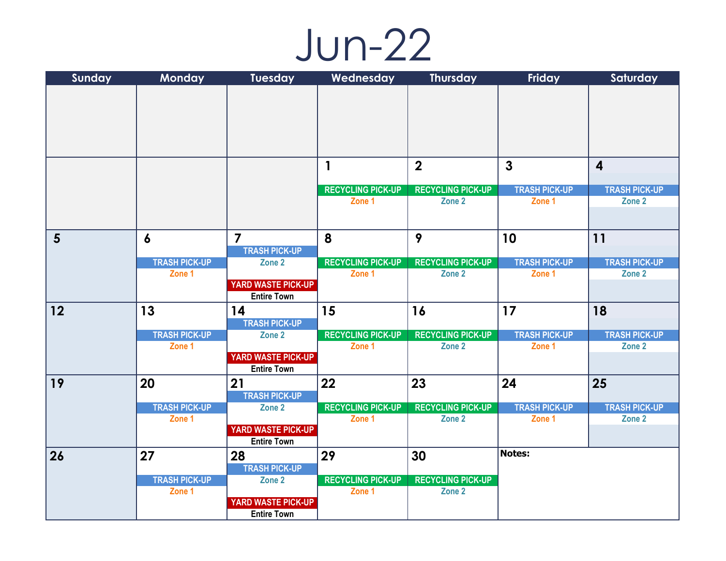## Jun-22

| Sunday         | <b>Monday</b>                  | <b>Tuesday</b>                                  | Wednesday                | <b>Thursday</b>          | <b>Friday</b>                  | Saturday                       |
|----------------|--------------------------------|-------------------------------------------------|--------------------------|--------------------------|--------------------------------|--------------------------------|
|                |                                |                                                 |                          |                          |                                |                                |
|                |                                |                                                 |                          |                          |                                |                                |
|                |                                |                                                 |                          |                          |                                |                                |
|                |                                |                                                 |                          |                          |                                |                                |
|                |                                |                                                 |                          |                          |                                |                                |
|                |                                |                                                 | $\mathbf{1}$             | $\overline{2}$           | $\mathbf{3}$                   | $\overline{\mathbf{4}}$        |
|                |                                |                                                 |                          |                          |                                |                                |
|                |                                |                                                 | <b>RECYCLING PICK-UP</b> | <b>RECYCLING PICK-UP</b> | <b>TRASH PICK-UP</b>           | <b>TRASH PICK-UP</b>           |
|                |                                |                                                 | Zone 1                   | Zone 2                   | Zone 1                         | Zone 2                         |
|                |                                |                                                 |                          |                          |                                |                                |
| $5\phantom{1}$ | $\boldsymbol{6}$               | $\overline{\mathbf{z}}$                         | 8                        | 9                        | 10                             | 11                             |
|                |                                | <b>TRASH PICK-UP</b>                            |                          |                          |                                |                                |
|                | <b>TRASH PICK-UP</b>           | Zone 2                                          | <b>RECYCLING PICK-UP</b> | <b>RECYCLING PICK-UP</b> | <b>TRASH PICK-UP</b>           | <b>TRASH PICK-UP</b>           |
|                | Zone 1                         |                                                 | Zone 1                   | Zone 2                   | Zone 1                         | Zone 2                         |
|                |                                | <b>YARD WASTE PICK-UP</b><br><b>Entire Town</b> |                          |                          |                                |                                |
| 12             | 13                             | 14                                              | 15                       | 16                       | 17                             | 18                             |
|                |                                | <b>TRASH PICK-UP</b>                            |                          |                          |                                |                                |
|                | <b>TRASH PICK-UP</b>           | Zone 2                                          | <b>RECYCLING PICK-UP</b> | <b>RECYCLING PICK-UP</b> | <b>TRASH PICK-UP</b>           | <b>TRASH PICK-UP</b>           |
|                | Zone 1                         |                                                 | Zone 1                   | Zone 2                   | Zone 1                         | Zone 2                         |
|                |                                | <b>YARD WASTE PICK-UP</b>                       |                          |                          |                                |                                |
|                |                                | <b>Entire Town</b>                              |                          |                          |                                |                                |
| 19             | 20                             | 21                                              | 22                       | 23                       | 24                             | 25                             |
|                |                                | <b>TRASH PICK-UP</b>                            | <b>RECYCLING PICK-UP</b> | <b>RECYCLING PICK-UP</b> |                                |                                |
|                | <b>TRASH PICK-UP</b><br>Zone 1 | Zone 2                                          | Zone 1                   | Zone 2                   | <b>TRASH PICK-UP</b><br>Zone 1 | <b>TRASH PICK-UP</b><br>Zone 2 |
|                |                                | <b>YARD WASTE PICK-UP</b>                       |                          |                          |                                |                                |
|                |                                | <b>Entire Town</b>                              |                          |                          |                                |                                |
| 26             | 27                             | 28                                              | 29                       | 30                       | Notes:                         |                                |
|                |                                | <b>TRASH PICK-UP</b>                            |                          |                          |                                |                                |
|                | <b>TRASH PICK-UP</b>           | Zone 2                                          | <b>RECYCLING PICK-UP</b> | <b>RECYCLING PICK-UP</b> |                                |                                |
|                | Zone 1                         | YARD WASTE PICK-UP                              | Zone 1                   | Zone 2                   |                                |                                |
|                |                                | <b>Entire Town</b>                              |                          |                          |                                |                                |
|                |                                |                                                 |                          |                          |                                |                                |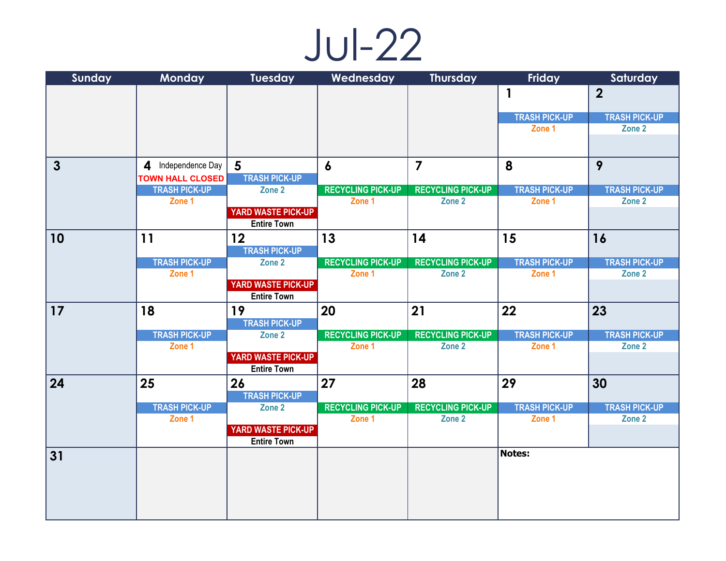## Jul-22

| Sunday       | Monday                  | <b>Tuesday</b>                                  | Wednesday                | <b>Thursday</b>          | Friday               | Saturday                       |
|--------------|-------------------------|-------------------------------------------------|--------------------------|--------------------------|----------------------|--------------------------------|
|              |                         |                                                 |                          |                          | $\mathbf{1}$         | $\overline{2}$                 |
|              |                         |                                                 |                          |                          |                      |                                |
|              |                         |                                                 |                          |                          | <b>TRASH PICK-UP</b> | <b>TRASH PICK-UP</b>           |
|              |                         |                                                 |                          |                          | Zone 1               | Zone 2                         |
|              |                         |                                                 |                          |                          |                      |                                |
| $\mathbf{3}$ | 4 Independence Day      | $\sqrt{5}$                                      | $\boldsymbol{6}$         | $\overline{\mathbf{z}}$  | 8                    | 9                              |
|              | <b>TOWN HALL CLOSED</b> | <b>TRASH PICK-UP</b>                            |                          |                          |                      |                                |
|              | <b>TRASH PICK-UP</b>    | Zone 2                                          | <b>RECYCLING PICK-UP</b> | <b>RECYCLING PICK-UP</b> | <b>TRASH PICK-UP</b> | <b>TRASH PICK-UP</b>           |
|              | Zone 1                  |                                                 | Zone 1                   | Zone 2                   | Zone 1               | Zone 2                         |
|              |                         | <b>YARD WASTE PICK-UP</b><br><b>Entire Town</b> |                          |                          |                      |                                |
| 10           | 11                      | 12                                              | 13                       | 14                       | 15                   | 16                             |
|              |                         | <b>TRASH PICK-UP</b>                            |                          |                          |                      |                                |
|              | <b>TRASH PICK-UP</b>    | Zone 2                                          | <b>RECYCLING PICK-UP</b> | <b>RECYCLING PICK-UP</b> | <b>TRASH PICK-UP</b> | <b>TRASH PICK-UP</b>           |
|              | Zone 1                  |                                                 | Zone 1                   | Zone 2                   | Zone 1               | Zone 2                         |
|              |                         | YARD WASTE PICK-UP<br><b>Entire Town</b>        |                          |                          |                      |                                |
|              |                         |                                                 |                          |                          |                      |                                |
| 17           | 18                      | 19                                              | 20                       | 21                       | 22                   | 23                             |
|              | <b>TRASH PICK-UP</b>    | <b>TRASH PICK-UP</b><br>Zone 2                  | <b>RECYCLING PICK-UP</b> | <b>RECYCLING PICK-UP</b> | <b>TRASH PICK-UP</b> |                                |
|              | Zone 1                  |                                                 | Zone 1                   | Zone 2                   | Zone 1               | <b>TRASH PICK-UP</b><br>Zone 2 |
|              |                         | YARD WASTE PICK-UP                              |                          |                          |                      |                                |
|              |                         | <b>Entire Town</b>                              |                          |                          |                      |                                |
| 24           | 25                      | 26                                              | 27                       | 28                       | 29                   | 30                             |
|              |                         | <b>TRASH PICK-UP</b>                            |                          |                          |                      |                                |
|              | <b>TRASH PICK-UP</b>    | Zone 2                                          | <b>RECYCLING PICK-UP</b> | <b>RECYCLING PICK-UP</b> | <b>TRASH PICK-UP</b> | <b>TRASH PICK-UP</b>           |
|              | Zone 1                  |                                                 | Zone 1                   | Zone 2                   | Zone 1               | Zone 2                         |
|              |                         | <b>YARD WASTE PICK-UP</b>                       |                          |                          |                      |                                |
|              |                         | <b>Entire Town</b>                              |                          |                          |                      |                                |
| 31           |                         |                                                 |                          |                          | <b>Notes:</b>        |                                |
|              |                         |                                                 |                          |                          |                      |                                |
|              |                         |                                                 |                          |                          |                      |                                |
|              |                         |                                                 |                          |                          |                      |                                |
|              |                         |                                                 |                          |                          |                      |                                |
|              |                         |                                                 |                          |                          |                      |                                |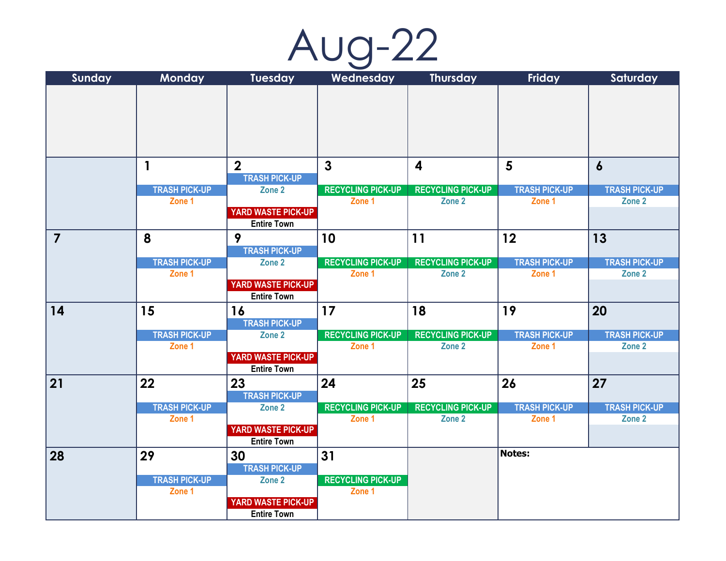| AUO |  |  |
|-----|--|--|
|     |  |  |

| Sunday         | Monday                         | <b>Tuesday</b>                                  | Wednesday                          | <b>Thursday</b>                    | Friday                         | Saturday                       |
|----------------|--------------------------------|-------------------------------------------------|------------------------------------|------------------------------------|--------------------------------|--------------------------------|
|                |                                |                                                 |                                    |                                    |                                |                                |
|                |                                |                                                 |                                    |                                    |                                |                                |
|                |                                |                                                 |                                    |                                    |                                |                                |
|                |                                |                                                 |                                    |                                    |                                |                                |
|                |                                |                                                 |                                    |                                    |                                |                                |
|                |                                |                                                 |                                    |                                    |                                |                                |
|                | $\mathbf{1}$                   | $\overline{2}$                                  | $\mathbf{3}$                       | $\overline{\mathbf{4}}$            | $5\phantom{1}$                 | $\boldsymbol{6}$               |
|                |                                | <b>TRASH PICK-UP</b>                            |                                    |                                    |                                |                                |
|                | <b>TRASH PICK-UP</b><br>Zone 1 | Zone 2                                          | <b>RECYCLING PICK-UP</b><br>Zone 1 | <b>RECYCLING PICK-UP</b><br>Zone 2 | <b>TRASH PICK-UP</b><br>Zone 1 | <b>TRASH PICK-UP</b><br>Zone 2 |
|                |                                | <b>YARD WASTE PICK-UP</b>                       |                                    |                                    |                                |                                |
|                |                                | <b>Entire Town</b>                              |                                    |                                    |                                |                                |
| $\overline{7}$ | 8                              | 9                                               | 10                                 | 11                                 | 12                             | 13                             |
|                |                                | <b>TRASH PICK-UP</b>                            |                                    |                                    |                                |                                |
|                | <b>TRASH PICK-UP</b>           | Zone 2                                          | <b>RECYCLING PICK-UP</b>           | <b>RECYCLING PICK-UP</b>           | <b>TRASH PICK-UP</b>           | <b>TRASH PICK-UP</b>           |
|                | Zone 1                         |                                                 | Zone 1                             | Zone 2                             | Zone 1                         | Zone 2                         |
|                |                                | <b>YARD WASTE PICK-UP</b>                       |                                    |                                    |                                |                                |
|                |                                | <b>Entire Town</b>                              |                                    |                                    |                                |                                |
| 14             | 15                             | 16                                              | 17                                 | 18                                 | 19                             | 20                             |
|                |                                | <b>TRASH PICK-UP</b>                            |                                    |                                    |                                |                                |
|                | <b>TRASH PICK-UP</b>           | Zone 2                                          | <b>RECYCLING PICK-UP</b>           | <b>RECYCLING PICK-UP</b>           | <b>TRASH PICK-UP</b>           | <b>TRASH PICK-UP</b>           |
|                | Zone 1                         | YARD WASTE PICK-UP                              | Zone 1                             | Zone 2                             | Zone 1                         | Zone 2                         |
|                |                                | <b>Entire Town</b>                              |                                    |                                    |                                |                                |
| 21             | 22                             | 23                                              | 24                                 | 25                                 | 26                             | 27                             |
|                |                                | <b>TRASH PICK-UP</b>                            |                                    |                                    |                                |                                |
|                | <b>TRASH PICK-UP</b>           | Zone 2                                          | <b>RECYCLING PICK-UP</b>           | <b>RECYCLING PICK-UP</b>           | <b>TRASH PICK-UP</b>           | <b>TRASH PICK-UP</b>           |
|                | Zone 1                         |                                                 | Zone 1                             | Zone 2                             | Zone 1                         | Zone 2                         |
|                |                                | <b>YARD WASTE PICK-UP</b>                       |                                    |                                    |                                |                                |
|                |                                | <b>Entire Town</b>                              |                                    |                                    |                                |                                |
| 28             | 29                             | 30                                              | 31                                 |                                    | Notes:                         |                                |
|                |                                | <b>TRASH PICK-UP</b>                            |                                    |                                    |                                |                                |
|                | <b>TRASH PICK-UP</b>           | Zone 2                                          | <b>RECYCLING PICK-UP</b>           |                                    |                                |                                |
|                | Zone 1                         |                                                 | Zone 1                             |                                    |                                |                                |
|                |                                | <b>YARD WASTE PICK-UP</b><br><b>Entire Town</b> |                                    |                                    |                                |                                |
|                |                                |                                                 |                                    |                                    |                                |                                |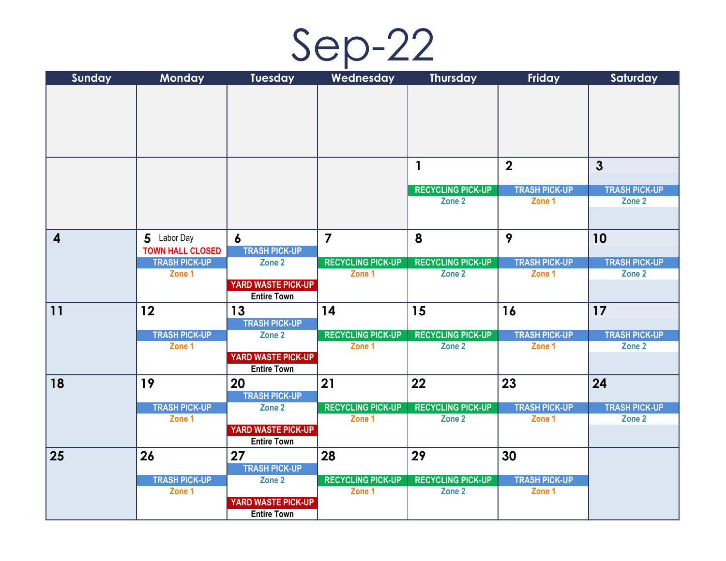

| Sunday                  | Monday                         | <b>Tuesday</b>                                  | Wednesday                          | <b>Thursday</b>                    | Friday                         | Saturday                       |
|-------------------------|--------------------------------|-------------------------------------------------|------------------------------------|------------------------------------|--------------------------------|--------------------------------|
|                         |                                |                                                 |                                    |                                    |                                |                                |
|                         |                                |                                                 |                                    |                                    |                                |                                |
|                         |                                |                                                 |                                    |                                    |                                |                                |
|                         |                                |                                                 |                                    |                                    |                                |                                |
|                         |                                |                                                 |                                    |                                    |                                |                                |
|                         |                                |                                                 |                                    | $\mathbf{1}$                       | $\overline{2}$                 | $\mathbf{3}$                   |
|                         |                                |                                                 |                                    |                                    |                                |                                |
|                         |                                |                                                 |                                    | <b>RECYCLING PICK-UP</b>           | <b>TRASH PICK-UP</b>           | <b>TRASH PICK-UP</b>           |
|                         |                                |                                                 |                                    | Zone 2                             | Zone 1                         | Zone 2                         |
|                         |                                |                                                 |                                    |                                    |                                |                                |
| $\overline{\mathbf{4}}$ | 5 Labor Day                    | $\boldsymbol{6}$                                | $\overline{7}$                     | 8                                  | 9                              | 10                             |
|                         | <b>TOWN HALL CLOSED</b>        | <b>TRASH PICK-UP</b>                            |                                    |                                    |                                |                                |
|                         | <b>TRASH PICK-UP</b>           | Zone 2                                          | <b>RECYCLING PICK-UP</b>           | <b>RECYCLING PICK-UP</b>           | <b>TRASH PICK-UP</b>           | <b>TRASH PICK-UP</b>           |
|                         | Zone 1                         |                                                 | Zone 1                             | Zone 2                             | Zone 1                         | Zone 2                         |
|                         |                                | <b>YARD WASTE PICK-UP</b><br><b>Entire Town</b> |                                    |                                    |                                |                                |
| 11                      | 12                             | 13                                              | 14                                 | 15                                 | 16                             | 17                             |
|                         |                                | <b>TRASH PICK-UP</b>                            |                                    |                                    |                                |                                |
|                         | <b>TRASH PICK-UP</b>           | Zone 2                                          | <b>RECYCLING PICK-UP</b>           | <b>RECYCLING PICK-UP</b>           | <b>TRASH PICK-UP</b>           | <b>TRASH PICK-UP</b>           |
|                         | Zone 1                         |                                                 | Zone 1                             | Zone 2                             | Zone 1                         | Zone 2                         |
|                         |                                | <b>YARD WASTE PICK-UP</b>                       |                                    |                                    |                                |                                |
|                         |                                | <b>Entire Town</b>                              |                                    |                                    |                                |                                |
| 18                      | 19                             | 20                                              | 21                                 | 22                                 | 23                             | 24                             |
|                         |                                | <b>TRASH PICK-UP</b>                            |                                    |                                    |                                |                                |
|                         | <b>TRASH PICK-UP</b><br>Zone 1 | Zone 2                                          | <b>RECYCLING PICK-UP</b><br>Zone 1 | <b>RECYCLING PICK-UP</b><br>Zone 2 | <b>TRASH PICK-UP</b><br>Zone 1 | <b>TRASH PICK-UP</b><br>Zone 2 |
|                         |                                | <b>YARD WASTE PICK-UP</b>                       |                                    |                                    |                                |                                |
|                         |                                | <b>Entire Town</b>                              |                                    |                                    |                                |                                |
| 25                      | 26                             | 27                                              | 28                                 | 29                                 | 30                             |                                |
|                         |                                | <b>TRASH PICK-UP</b>                            |                                    |                                    |                                |                                |
|                         | <b>TRASH PICK-UP</b>           | Zone 2                                          | <b>RECYCLING PICK-UP</b>           | <b>RECYCLING PICK-UP</b>           | <b>TRASH PICK-UP</b>           |                                |
|                         | Zone 1                         |                                                 | Zone 1                             | Zone 2                             | Zone 1                         |                                |
|                         |                                | <b>YARD WASTE PICK-UP</b><br><b>Entire Town</b> |                                    |                                    |                                |                                |
|                         |                                |                                                 |                                    |                                    |                                |                                |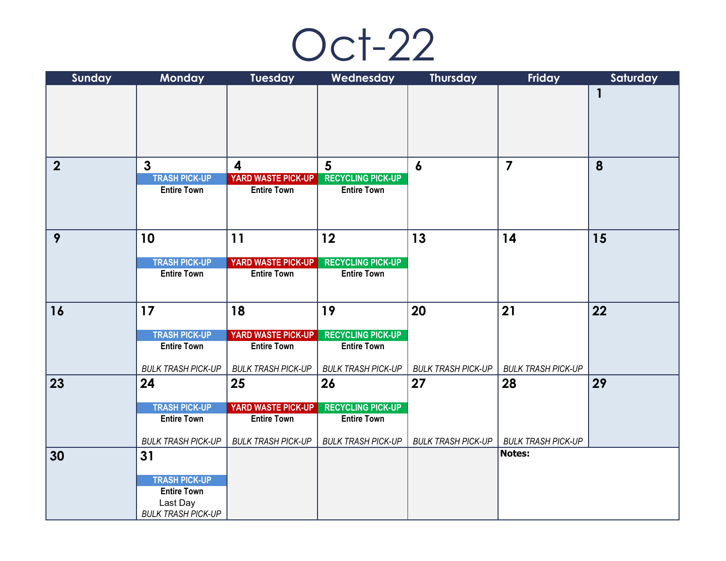

| Sunday           | Monday                          | <b>Tuesday</b>            | Wednesday                 | <b>Thursday</b>           | Friday                              | Saturday |
|------------------|---------------------------------|---------------------------|---------------------------|---------------------------|-------------------------------------|----------|
|                  |                                 |                           |                           |                           |                                     | 1        |
|                  |                                 |                           |                           |                           |                                     |          |
|                  |                                 |                           |                           |                           |                                     |          |
|                  |                                 |                           |                           |                           |                                     |          |
|                  |                                 |                           |                           |                           |                                     |          |
| $\boldsymbol{2}$ | $\mathbf{3}$                    | 4                         | $5\phantom{.}$            | $\boldsymbol{6}$          | $\overline{\mathbf{z}}$             | 8        |
|                  | <b>TRASH PICK-UP</b>            | YARD WASTE PICK-UP        | <b>RECYCLING PICK-UP</b>  |                           |                                     |          |
|                  | <b>Entire Town</b>              | <b>Entire Town</b>        | <b>Entire Town</b>        |                           |                                     |          |
|                  |                                 |                           |                           |                           |                                     |          |
|                  |                                 |                           |                           |                           |                                     |          |
| 9                | 10                              | 11                        | 12                        | 13                        | 14                                  | 15       |
|                  | <b>TRASH PICK-UP</b>            | YARD WASTE PICK-UP        | <b>RECYCLING PICK-UP</b>  |                           |                                     |          |
|                  | <b>Entire Town</b>              | <b>Entire Town</b>        | <b>Entire Town</b>        |                           |                                     |          |
|                  |                                 |                           |                           |                           |                                     |          |
|                  |                                 |                           |                           |                           |                                     |          |
| 16               | 17                              | 18                        | 19                        | 20                        | 21                                  | 22       |
|                  | <b>TRASH PICK-UP</b>            | <b>YARD WASTE PICK-UP</b> | <b>RECYCLING PICK-UP</b>  |                           |                                     |          |
|                  | <b>Entire Town</b>              | <b>Entire Town</b>        | <b>Entire Town</b>        |                           |                                     |          |
|                  |                                 |                           |                           |                           |                                     |          |
|                  | <b>BULK TRASH PICK-UP</b>       | <b>BULK TRASH PICK-UP</b> | <b>BULK TRASH PICK-UP</b> | <b>BULK TRASH PICK-UP</b> | <b>BULK TRASH PICK-UP</b>           |          |
| 23               | 24                              | 25                        | 26                        | 27                        | 28                                  | 29       |
|                  | <b>TRASH PICK-UP</b>            | YARD WASTE PICK-UP        | <b>RECYCLING PICK-UP</b>  |                           |                                     |          |
|                  | <b>Entire Town</b>              | <b>Entire Town</b>        | <b>Entire Town</b>        |                           |                                     |          |
|                  |                                 |                           |                           |                           |                                     |          |
| 30               | <b>BULK TRASH PICK-UP</b><br>31 | <b>BULK TRASH PICK-UP</b> | <b>BULK TRASH PICK-UP</b> | <b>BULK TRASH PICK-UP</b> | <b>BULK TRASH PICK-UP</b><br>Notes: |          |
|                  |                                 |                           |                           |                           |                                     |          |
|                  | <b>TRASH PICK-UP</b>            |                           |                           |                           |                                     |          |
|                  | <b>Entire Town</b>              |                           |                           |                           |                                     |          |
|                  | Last Day                        |                           |                           |                           |                                     |          |
|                  | <b>BULK TRASH PICK-UP</b>       |                           |                           |                           |                                     |          |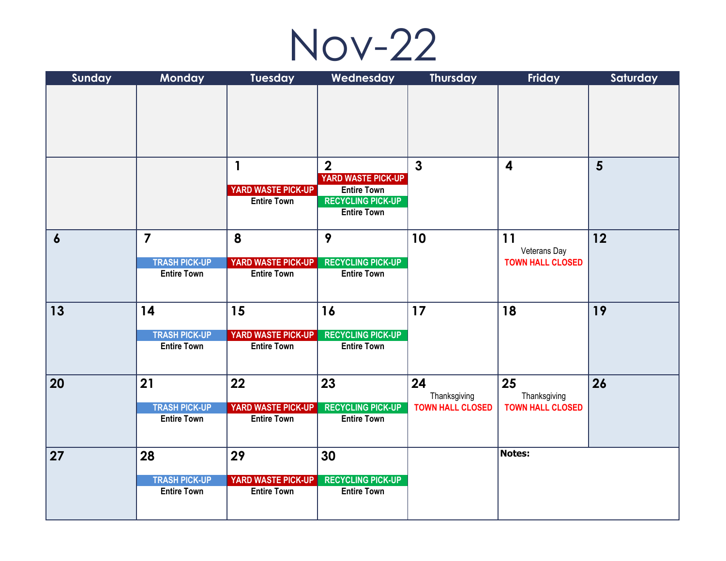

| Sunday           | Monday                                     | <b>Tuesday</b>                                  | Wednesday                                                            | <b>Thursday</b>         | Friday                  | Saturday       |
|------------------|--------------------------------------------|-------------------------------------------------|----------------------------------------------------------------------|-------------------------|-------------------------|----------------|
|                  |                                            |                                                 |                                                                      |                         |                         |                |
|                  |                                            |                                                 |                                                                      |                         |                         |                |
|                  |                                            | $\mathbf{1}$                                    | $\overline{2}$<br><b>YARD WASTE PICK-UP</b>                          | $\mathbf{3}$            | $\overline{\mathbf{4}}$ | $5\phantom{1}$ |
|                  |                                            | YARD WASTE PICK-UP<br><b>Entire Town</b>        | <b>Entire Town</b><br><b>RECYCLING PICK-UP</b><br><b>Entire Town</b> |                         |                         |                |
| $\boldsymbol{6}$ | $\overline{7}$                             | 8                                               | 9                                                                    | 10                      | 11<br>Veterans Day      | 12             |
|                  | <b>TRASH PICK-UP</b><br><b>Entire Town</b> | <b>YARD WASTE PICK-UP</b><br><b>Entire Town</b> | <b>RECYCLING PICK-UP</b><br><b>Entire Town</b>                       |                         | <b>TOWN HALL CLOSED</b> |                |
| 13               | 14                                         | 15                                              | 16                                                                   | 17                      | 18                      | 19             |
|                  | <b>TRASH PICK-UP</b><br><b>Entire Town</b> | YARD WASTE PICK-UP<br><b>Entire Town</b>        | <b>RECYCLING PICK-UP</b><br><b>Entire Town</b>                       |                         |                         |                |
| 20               | 21                                         | 22                                              | 23                                                                   | 24<br>Thanksgiving      | 25<br>Thanksgiving      | 26             |
|                  | <b>TRASH PICK-UP</b><br><b>Entire Town</b> | <b>YARD WASTE PICK-UP</b><br><b>Entire Town</b> | <b>RECYCLING PICK-UP</b><br><b>Entire Town</b>                       | <b>TOWN HALL CLOSED</b> | <b>TOWN HALL CLOSED</b> |                |
| 27               | 28                                         | 29                                              | 30                                                                   |                         | <b>Notes:</b>           |                |
|                  | <b>TRASH PICK-UP</b>                       | YARD WASTE PICK-UP                              | <b>RECYCLING PICK-UP</b>                                             |                         |                         |                |
|                  | <b>Entire Town</b>                         | <b>Entire Town</b>                              | <b>Entire Town</b>                                                   |                         |                         |                |